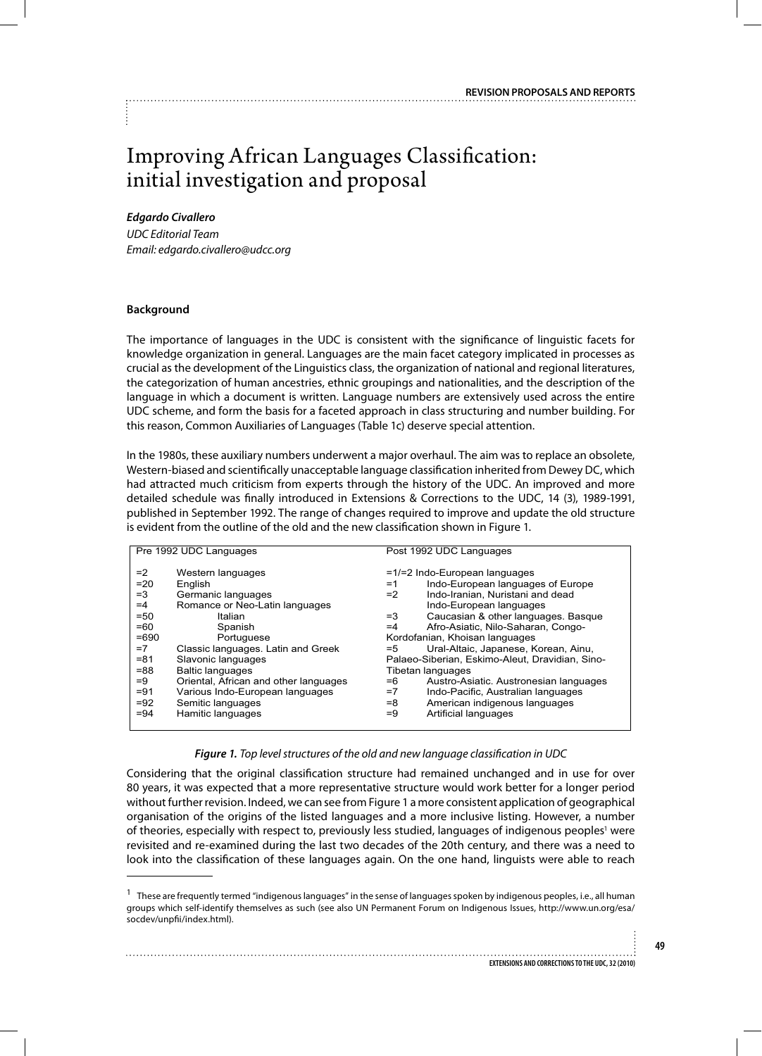# Improving African Languages Classification: initial investigation and proposal

#### *Edgardo Civallero*

*UDC Editorial Team Email: edgardo.civallero@udcc.org*

#### **Background**

The importance of languages in the UDC is consistent with the significance of linguistic facets for knowledge organization in general. Languages are the main facet category implicated in processes as crucial as the development of the Linguistics class, the organization of national and regional literatures, the categorization of human ancestries, ethnic groupings and nationalities, and the description of the language in which a document is written. Language numbers are extensively used across the entire UDC scheme, and form the basis for a faceted approach in class structuring and number building. For this reason, Common Auxiliaries of Languages (Table 1c) deserve special attention.

In the 1980s, these auxiliary numbers underwent a major overhaul. The aim was to replace an obsolete, Western-biased and scientifically unacceptable language classification inherited from Dewey DC, which had attracted much criticism from experts through the history of the UDC. An improved and more detailed schedule was finally introduced in Extensions & Corrections to the UDC, 14 (3), 1989-1991, published in September 1992. The range of changes required to improve and update the old structure is evident from the outline of the old and the new classification shown in Figure 1.

| Pre 1992 UDC Languages |                                       | Post 1992 UDC Languages                         |                                        |
|------------------------|---------------------------------------|-------------------------------------------------|----------------------------------------|
|                        |                                       |                                                 |                                        |
| $=2$                   | Western languages                     | $=1/2$ Indo-European languages                  |                                        |
| $=20$                  | English                               | $=1$                                            | Indo-European languages of Europe      |
| $=3$                   | Germanic languages                    | $=2$                                            | Indo-Iranian, Nuristani and dead       |
| $=4$                   | Romance or Neo-Latin languages        |                                                 | Indo-European languages                |
| $= 50$                 | Italian                               | $=$ 3                                           | Caucasian & other languages. Basque    |
| $=60$                  | Spanish                               | $=4$                                            | Afro-Asiatic, Nilo-Saharan, Congo-     |
| $=690$                 | Portuguese                            | Kordofanian, Khoisan languages                  |                                        |
| $=7$                   | Classic languages. Latin and Greek    | $= 5$                                           | Ural-Altaic, Japanese, Korean, Ainu,   |
| $= 81$                 | Slavonic languages                    | Palaeo-Siberian, Eskimo-Aleut, Dravidian, Sino- |                                        |
| $= 88$                 | <b>Baltic languages</b>               | Tibetan languages                               |                                        |
| $=9$                   | Oriental, African and other languages | $=6$                                            | Austro-Asiatic. Austronesian languages |
| $= 91$                 | Various Indo-European languages       | $=7$                                            | Indo-Pacific, Australian languages     |
| $= 92$                 | Semitic languages                     | $= 8$                                           | American indigenous languages          |
| $= 94$                 | Hamitic languages                     | $=9$                                            | Artificial languages                   |
|                        |                                       |                                                 |                                        |

#### *Figure 1. Top level structures of the old and new language classification in UDC*

Considering that the original classification structure had remained unchanged and in use for over 80 years, it was expected that a more representative structure would work better for a longer period without further revision. Indeed, we can see from Figure 1 a more consistent application of geographical organisation of the origins of the listed languages and a more inclusive listing. However, a number of theories, especially with respect to, previously less studied, languages of indigenous peoples<sup>1</sup> were revisited and re-examined during the last two decades of the 20th century, and there was a need to look into the classification of these languages again. On the one hand, linguists were able to reach

 $1$  These are frequently termed "indigenous languages" in the sense of languages spoken by indigenous peoples, i.e., all human groups which self-identify themselves as such (see also UN Permanent Forum on Indigenous Issues, http://www.un.org/esa/ socdev/unpfii/index.html).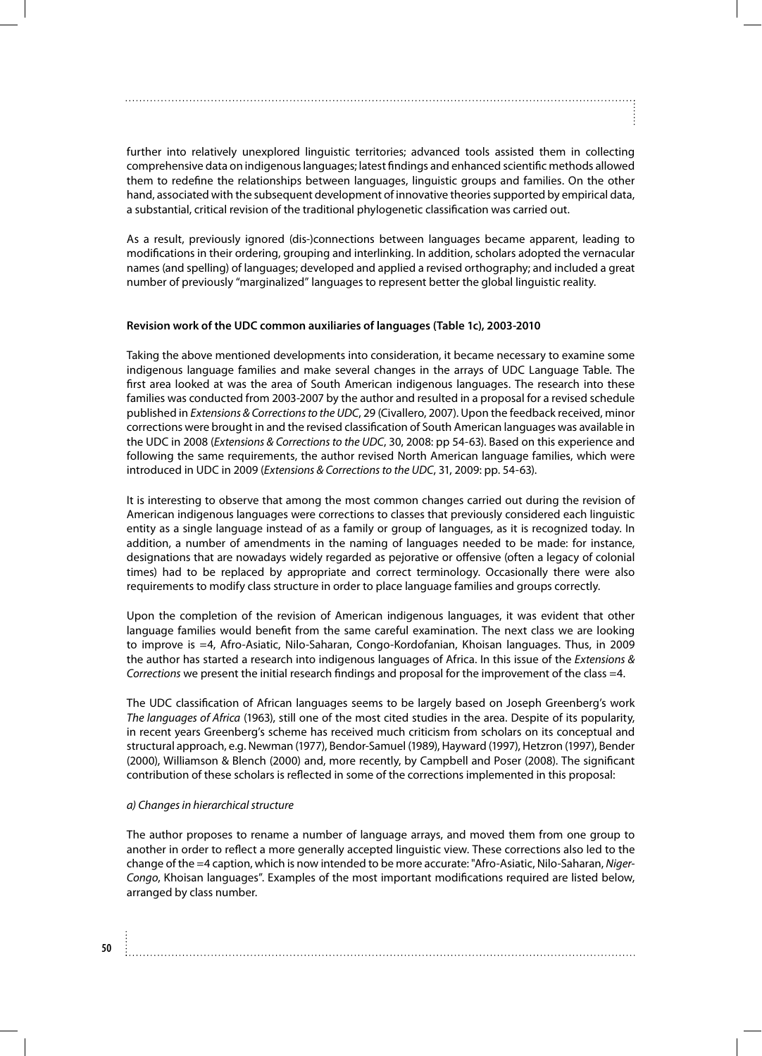further into relatively unexplored linguistic territories; advanced tools assisted them in collecting comprehensive data on indigenous languages; latest findings and enhanced scientific methods allowed them to redefine the relationships between languages, linguistic groups and families. On the other hand, associated with the subsequent development of innovative theories supported by empirical data, a substantial, critical revision of the traditional phylogenetic classification was carried out.

As a result, previously ignored (dis-)connections between languages became apparent, leading to modifications in their ordering, grouping and interlinking. In addition, scholars adopted the vernacular names (and spelling) of languages; developed and applied a revised orthography; and included a great number of previously "marginalized" languages to represent better the global linguistic reality.

#### **Revision work of the UDC common auxiliaries of languages (Table 1c), 2003-2010**

Taking the above mentioned developments into consideration, it became necessary to examine some indigenous language families and make several changes in the arrays of UDC Language Table. The first area looked at was the area of South American indigenous languages. The research into these families was conducted from 2003-2007 by the author and resulted in a proposal for a revised schedule published in *Extensions & Corrections to the UDC*, 29 (Civallero, 2007). Upon the feedback received, minor corrections were brought in and the revised classification of South American languages was available in the UDC in 2008 (*Extensions & Corrections to the UDC*, 30, 2008: pp 54-63). Based on this experience and following the same requirements, the author revised North American language families, which were introduced in UDC in 2009 (*Extensions & Corrections to the UDC*, 31, 2009: pp. 54-63).

It is interesting to observe that among the most common changes carried out during the revision of American indigenous languages were corrections to classes that previously considered each linguistic entity as a single language instead of as a family or group of languages, as it is recognized today. In addition, a number of amendments in the naming of languages needed to be made: for instance, designations that are nowadays widely regarded as pejorative or offensive (often a legacy of colonial times) had to be replaced by appropriate and correct terminology. Occasionally there were also requirements to modify class structure in order to place language families and groups correctly.

Upon the completion of the revision of American indigenous languages, it was evident that other language families would benefit from the same careful examination. The next class we are looking to improve is =4, Afro-Asiatic, Nilo-Saharan, Congo-Kordofanian, Khoisan languages. Thus, in 2009 the author has started a research into indigenous languages of Africa. In this issue of the *Extensions & Corrections* we present the initial research findings and proposal for the improvement of the class =4.

The UDC classification of African languages seems to be largely based on Joseph Greenberg's work *The languages of Africa* (1963), still one of the most cited studies in the area. Despite of its popularity, in recent years Greenberg's scheme has received much criticism from scholars on its conceptual and structural approach, e.g. Newman (1977), Bendor-Samuel (1989), Hayward (1997), Hetzron (1997), Bender (2000), Williamson & Blench (2000) and, more recently, by Campbell and Poser (2008). The significant contribution of these scholars is reflected in some of the corrections implemented in this proposal:

#### *a) Changes in hierarchical structure*

The author proposes to rename a number of language arrays, and moved them from one group to another in order to reflect a more generally accepted linguistic view. These corrections also led to the change of the =4 caption, which is now intended to be more accurate: "Afro-Asiatic, Nilo-Saharan, *Niger-Congo*, Khoisan languages". Examples of the most important modifications required are listed below, arranged by class number.

**50**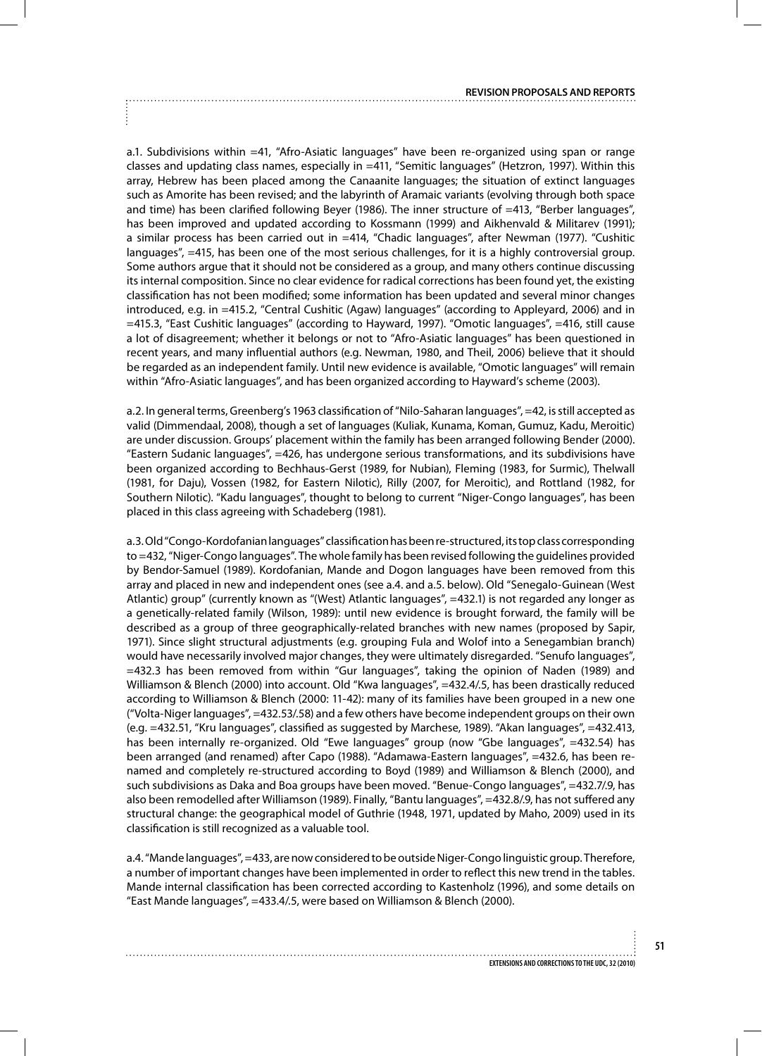a.1. Subdivisions within =41, "Afro-Asiatic languages" have been re-organized using span or range classes and updating class names, especially in =411, "Semitic languages" (Hetzron, 1997). Within this array, Hebrew has been placed among the Canaanite languages; the situation of extinct languages such as Amorite has been revised; and the labyrinth of Aramaic variants (evolving through both space and time) has been clarified following Beyer (1986). The inner structure of =413, "Berber languages", has been improved and updated according to Kossmann (1999) and Aikhenvald & Militarev (1991); a similar process has been carried out in =414, "Chadic languages", after Newman (1977). "Cushitic languages", =415, has been one of the most serious challenges, for it is a highly controversial group. Some authors argue that it should not be considered as a group, and many others continue discussing its internal composition. Since no clear evidence for radical corrections has been found yet, the existing classification has not been modified; some information has been updated and several minor changes introduced, e.g. in =415.2, "Central Cushitic (Agaw) languages" (according to Appleyard, 2006) and in =415.3, "East Cushitic languages" (according to Hayward, 1997). "Omotic languages", =416, still cause a lot of disagreement; whether it belongs or not to "Afro-Asiatic languages" has been questioned in recent years, and many influential authors (e.g. Newman, 1980, and Theil, 2006) believe that it should be regarded as an independent family. Until new evidence is available, "Omotic languages" will remain within "Afro-Asiatic languages", and has been organized according to Hayward's scheme (2003).

a.2. In general terms, Greenberg's 1963 classification of "Nilo-Saharan languages", =42, is still accepted as valid (Dimmendaal, 2008), though a set of languages (Kuliak, Kunama, Koman, Gumuz, Kadu, Meroitic) are under discussion. Groups' placement within the family has been arranged following Bender (2000). "Eastern Sudanic languages", =426, has undergone serious transformations, and its subdivisions have been organized according to Bechhaus-Gerst (1989, for Nubian), Fleming (1983, for Surmic), Thelwall (1981, for Daju), Vossen (1982, for Eastern Nilotic), Rilly (2007, for Meroitic), and Rottland (1982, for Southern Nilotic). "Kadu languages", thought to belong to current "Niger-Congo languages", has been placed in this class agreeing with Schadeberg (1981).

a.3. Old "Congo-Kordofanian languages" classification has been re-structured, its top class corresponding to =432, "Niger-Congo languages". The whole family has been revised following the guidelines provided by Bendor-Samuel (1989). Kordofanian, Mande and Dogon languages have been removed from this array and placed in new and independent ones (see a.4. and a.5. below). Old "Senegalo-Guinean (West Atlantic) group" (currently known as "(West) Atlantic languages", =432.1) is not regarded any longer as a genetically-related family (Wilson, 1989): until new evidence is brought forward, the family will be described as a group of three geographically-related branches with new names (proposed by Sapir, 1971). Since slight structural adjustments (e.g. grouping Fula and Wolof into a Senegambian branch) would have necessarily involved major changes, they were ultimately disregarded. "Senufo languages", =432.3 has been removed from within "Gur languages", taking the opinion of Naden (1989) and Williamson & Blench (2000) into account. Old "Kwa languages", =432.4/.5, has been drastically reduced according to Williamson & Blench (2000: 11-42): many of its families have been grouped in a new one ("Volta-Niger languages", =432.53/.58) and a few others have become independent groups on their own (e.g. =432.51, "Kru languages", classified as suggested by Marchese, 1989). "Akan languages", =432.413, has been internally re-organized. Old "Ewe languages" group (now "Gbe languages", =432.54) has been arranged (and renamed) after Capo (1988). "Adamawa-Eastern languages", =432.6, has been renamed and completely re-structured according to Boyd (1989) and Williamson & Blench (2000), and such subdivisions as Daka and Boa groups have been moved. "Benue-Congo languages", =432.7/.9, has also been remodelled after Williamson (1989). Finally, "Bantu languages", =432.8/.9, has not suffered any structural change: the geographical model of Guthrie (1948, 1971, updated by Maho, 2009) used in its classification is still recognized as a valuable tool.

a.4. "Mande languages", =433, are now considered to be outside Niger-Congo linguistic group. Therefore, a number of important changes have been implemented in order to reflect this new trend in the tables. Mande internal classification has been corrected according to Kastenholz (1996), and some details on "East Mande languages", =433.4/.5, were based on Williamson & Blench (2000).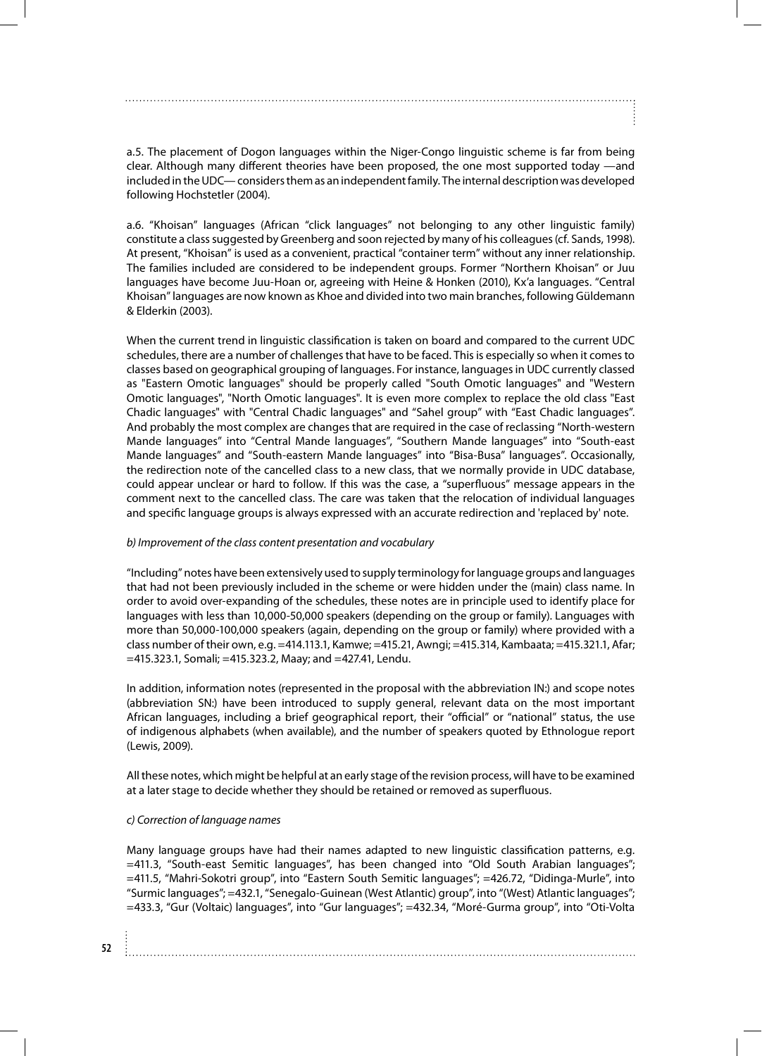a.5. The placement of Dogon languages within the Niger-Congo linguistic scheme is far from being clear. Although many different theories have been proposed, the one most supported today —and included in the UDC— considers them as an independent family. The internal description was developed following Hochstetler (2004).

a.6. "Khoisan" languages (African "click languages" not belonging to any other linguistic family) constitute a class suggested by Greenberg and soon rejected by many of his colleagues (cf. Sands, 1998). At present, "Khoisan" is used as a convenient, practical "container term" without any inner relationship. The families included are considered to be independent groups. Former "Northern Khoisan" or Juu languages have become Juu-Hoan or, agreeing with Heine & Honken (2010), Kx'a languages. "Central Khoisan" languages are now known as Khoe and divided into two main branches, following Güldemann & Elderkin (2003).

When the current trend in linguistic classification is taken on board and compared to the current UDC schedules, there are a number of challenges that have to be faced. This is especially so when it comes to classes based on geographical grouping of languages. For instance, languages in UDC currently classed as "Eastern Omotic languages" should be properly called "South Omotic languages" and "Western Omotic languages", "North Omotic languages". It is even more complex to replace the old class "East Chadic languages" with "Central Chadic languages" and "Sahel group" with "East Chadic languages". And probably the most complex are changes that are required in the case of reclassing "North-western Mande languages" into "Central Mande languages", "Southern Mande languages" into "South-east Mande languages" and "South-eastern Mande languages" into "Bisa-Busa" languages". Occasionally, the redirection note of the cancelled class to a new class, that we normally provide in UDC database, could appear unclear or hard to follow. If this was the case, a "superfluous" message appears in the comment next to the cancelled class. The care was taken that the relocation of individual languages and specific language groups is always expressed with an accurate redirection and 'replaced by' note.

#### *b) Improvement of the class content presentation and vocabulary*

"Including" notes have been extensively used to supply terminology for language groups and languages that had not been previously included in the scheme or were hidden under the (main) class name. In order to avoid over-expanding of the schedules, these notes are in principle used to identify place for languages with less than 10,000-50,000 speakers (depending on the group or family). Languages with more than 50,000-100,000 speakers (again, depending on the group or family) where provided with a class number of their own, e.g. =414.113.1, Kamwe; =415.21, Awngi; =415.314, Kambaata; =415.321.1, Afar; =415.323.1, Somali; =415.323.2, Maay; and =427.41, Lendu.

In addition, information notes (represented in the proposal with the abbreviation IN:) and scope notes (abbreviation SN:) have been introduced to supply general, relevant data on the most important African languages, including a brief geographical report, their "official" or "national" status, the use of indigenous alphabets (when available), and the number of speakers quoted by Ethnologue report (Lewis, 2009).

All these notes, which might be helpful at an early stage of the revision process, will have to be examined at a later stage to decide whether they should be retained or removed as superfluous.

### *c) Correction of language names*

Many language groups have had their names adapted to new linguistic classification patterns, e.g. =411.3, "South-east Semitic languages", has been changed into "Old South Arabian languages"; =411.5, "Mahri-Sokotri group", into "Eastern South Semitic languages"; =426.72, "Didinga-Murle", into "Surmic languages"; =432.1, "Senegalo-Guinean (West Atlantic) group", into "(West) Atlantic languages"; =433.3, "Gur (Voltaic) languages", into "Gur languages"; =432.34, "Moré-Gurma group", into "Oti-Volta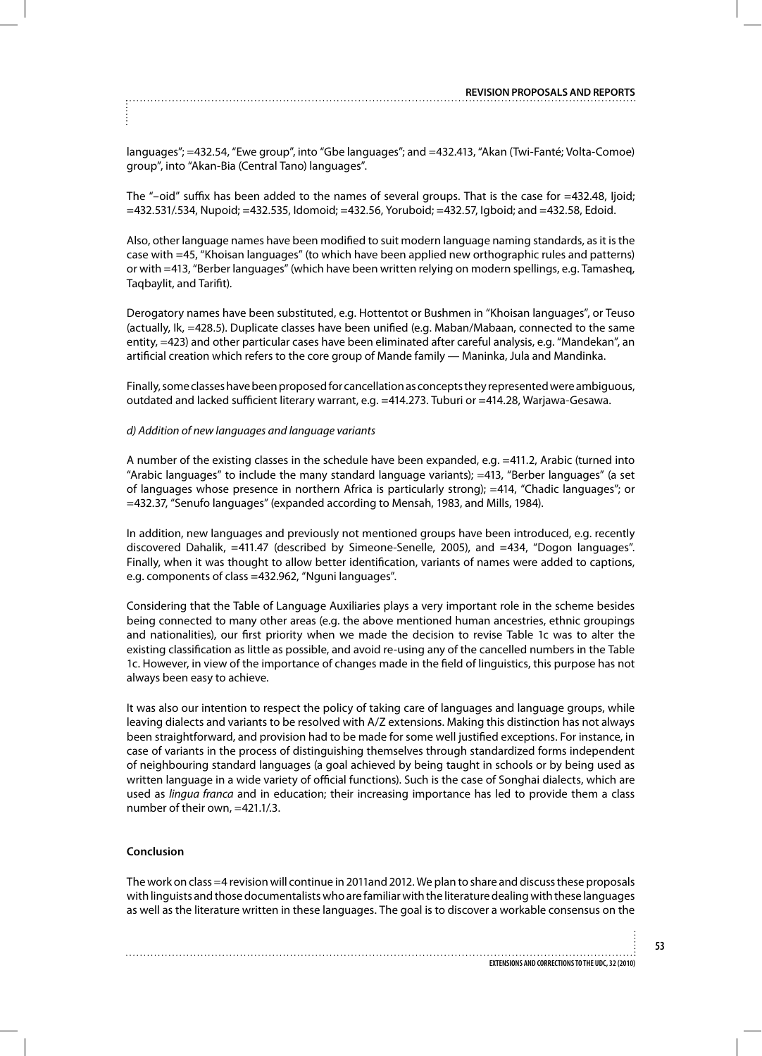languages"; =432.54, "Ewe group", into "Gbe languages"; and =432.413, "Akan (Twi-Fanté; Volta-Comoe) group", into "Akan-Bia (Central Tano) languages".

The "-oid" suffix has been added to the names of several groups. That is the case for =432.48, Ijoid; =432.531/.534, Nupoid; =432.535, Idomoid; =432.56, Yoruboid; =432.57, Igboid; and =432.58, Edoid.

Also, other language names have been modified to suit modern language naming standards, as it is the case with =45, "Khoisan languages" (to which have been applied new orthographic rules and patterns) or with =413, "Berber languages" (which have been written relying on modern spellings, e.g. Tamasheq, Taqbaylit, and Tarifit).

Derogatory names have been substituted, e.g. Hottentot or Bushmen in "Khoisan languages", or Teuso (actually, Ik, =428.5). Duplicate classes have been unified (e.g. Maban/Mabaan, connected to the same entity, =423) and other particular cases have been eliminated after careful analysis, e.g. "Mandekan", an artificial creation which refers to the core group of Mande family — Maninka, Jula and Mandinka.

Finally, some classes have been proposed for cancellation as concepts they represented were ambiguous, outdated and lacked sufficient literary warrant, e.g. =414.273. Tuburi or =414.28, Warjawa-Gesawa.

#### *d) Addition of new languages and language variants*

A number of the existing classes in the schedule have been expanded, e.g. =411.2, Arabic (turned into "Arabic languages" to include the many standard language variants); =413, "Berber languages" (a set of languages whose presence in northern Africa is particularly strong); =414, "Chadic languages"; or =432.37, "Senufo languages" (expanded according to Mensah, 1983, and Mills, 1984).

In addition, new languages and previously not mentioned groups have been introduced, e.g. recently discovered Dahalik, =411.47 (described by Simeone-Senelle, 2005), and =434, "Dogon languages". Finally, when it was thought to allow better identification, variants of names were added to captions, e.g. components of class =432.962, "Nguni languages".

Considering that the Table of Language Auxiliaries plays a very important role in the scheme besides being connected to many other areas (e.g. the above mentioned human ancestries, ethnic groupings and nationalities), our first priority when we made the decision to revise Table 1c was to alter the existing classification as little as possible, and avoid re-using any of the cancelled numbers in the Table 1c. However, in view of the importance of changes made in the field of linguistics, this purpose has not always been easy to achieve.

It was also our intention to respect the policy of taking care of languages and language groups, while leaving dialects and variants to be resolved with A/Z extensions. Making this distinction has not always been straightforward, and provision had to be made for some well justified exceptions. For instance, in case of variants in the process of distinguishing themselves through standardized forms independent of neighbouring standard languages (a goal achieved by being taught in schools or by being used as written language in a wide variety of official functions). Such is the case of Songhai dialects, which are used as *lingua franca* and in education; their increasing importance has led to provide them a class number of their own, =421.1/.3.

#### **Conclusion**

The work on class =4 revision will continue in 2011and 2012. We plan to share and discuss these proposals with linguists and those documentalists who are familiar with the literature dealing with these languages as well as the literature written in these languages. The goal is to discover a workable consensus on the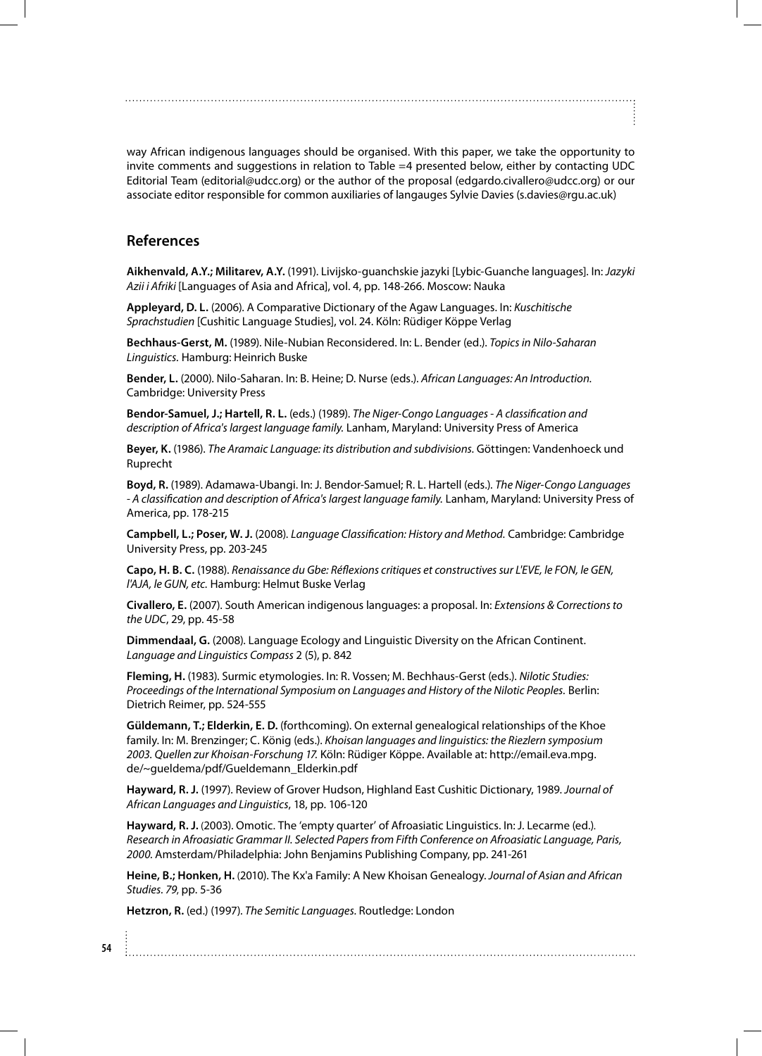way African indigenous languages should be organised. With this paper, we take the opportunity to invite comments and suggestions in relation to Table =4 presented below, either by contacting UDC Editorial Team (editorial@udcc.org) or the author of the proposal (edgardo.civallero@udcc.org) or our associate editor responsible for common auxiliaries of langauges Sylvie Davies (s.davies@rgu.ac.uk)

## **References**

**Aikhenvald, A.Y.; Militarev, A.Y.** (1991). Livijsko-guanchskie jazyki [Lybic-Guanche languages]. In: *Jazyki Azii i Afriki* [Languages of Asia and Africa], vol. 4, pp. 148-266. Moscow: Nauka

**Appleyard, D. L.** (2006). A Comparative Dictionary of the Agaw Languages. In: *Kuschitische Sprachstudien* [Cushitic Language Studies], vol. 24. Köln: Rüdiger Köppe Verlag

**Bechhaus-Gerst, M.** (1989). Nile-Nubian Reconsidered. In: L. Bender (ed.). *Topics in Nilo-Saharan Linguistics.* Hamburg: Heinrich Buske

**Bender, L.** (2000). Nilo-Saharan. In: B. Heine; D. Nurse (eds.). *African Languages: An Introduction.* Cambridge: University Press

**Bendor-Samuel, J.; Hartell, R. L.** (eds.) (1989). *The Niger-Congo Languages - A classification and description of Africa's largest language family.* Lanham, Maryland: University Press of America

**Beyer, K.** (1986). *The Aramaic Language: its distribution and subdivisions.* Göttingen: Vandenhoeck und Ruprecht

**Boyd, R.** (1989). Adamawa-Ubangi. In: J. Bendor-Samuel; R. L. Hartell (eds.). *The Niger-Congo Languages - A classification and description of Africa's largest language family.* Lanham, Maryland: University Press of America, pp. 178-215

**Campbell, L.; Poser, W. J.** (2008). *Language Classification: History and Method.* Cambridge: Cambridge University Press, pp. 203-245

**Capo, H. B. C.** (1988). *Renaissance du Gbe: Réflexions critiques et constructives sur L'EVE, le FON, le GEN, l'AJA, le GUN, etc.* Hamburg: Helmut Buske Verlag

**Civallero, E.** (2007). South American indigenous languages: a proposal. In: *Extensions & Corrections to the UDC*, 29, pp. 45-58

**Dimmendaal, G.** (2008). Language Ecology and Linguistic Diversity on the African Continent. *Language and Linguistics Compass* 2 (5), p. 842

**Fleming, H.** (1983). Surmic etymologies. In: R. Vossen; M. Bechhaus-Gerst (eds.). *Nilotic Studies: Proceedings of the International Symposium on Languages and History of the Nilotic Peoples.* Berlin: Dietrich Reimer, pp. 524-555

**Güldemann, T.; Elderkin, E. D.** (forthcoming). On external genealogical relationships of the Khoe family. In: M. Brenzinger; C. König (eds.). *Khoisan languages and linguistics: the Riezlern symposium 2003. Quellen zur Khoisan-Forschung 17.* Köln: Rüdiger Köppe. Available at: http://email.eva.mpg. de/~gueldema/pdf/Gueldemann\_Elderkin.pdf

**Hayward, R. J.** (1997). Review of Grover Hudson, Highland East Cushitic Dictionary, 1989. *Journal of African Languages and Linguistics*, 18, pp. 106-120

**Hayward, R. J.** (2003). Omotic. The 'empty quarter' of Afroasiatic Linguistics. In: J. Lecarme (ed.). *Research in Afroasiatic Grammar II. Selected Papers from Fifth Conference on Afroasiatic Language, Paris, 2000.* Amsterdam/Philadelphia: John Benjamins Publishing Company, pp. 241-261

**Heine, B.; Honken, H.** (2010). The Kx'a Family: A New Khoisan Genealogy. *Journal of Asian and African Studies. 79*, pp. 5-36

**Hetzron, R.** (ed.) (1997). *The Semitic Languages.* Routledge: London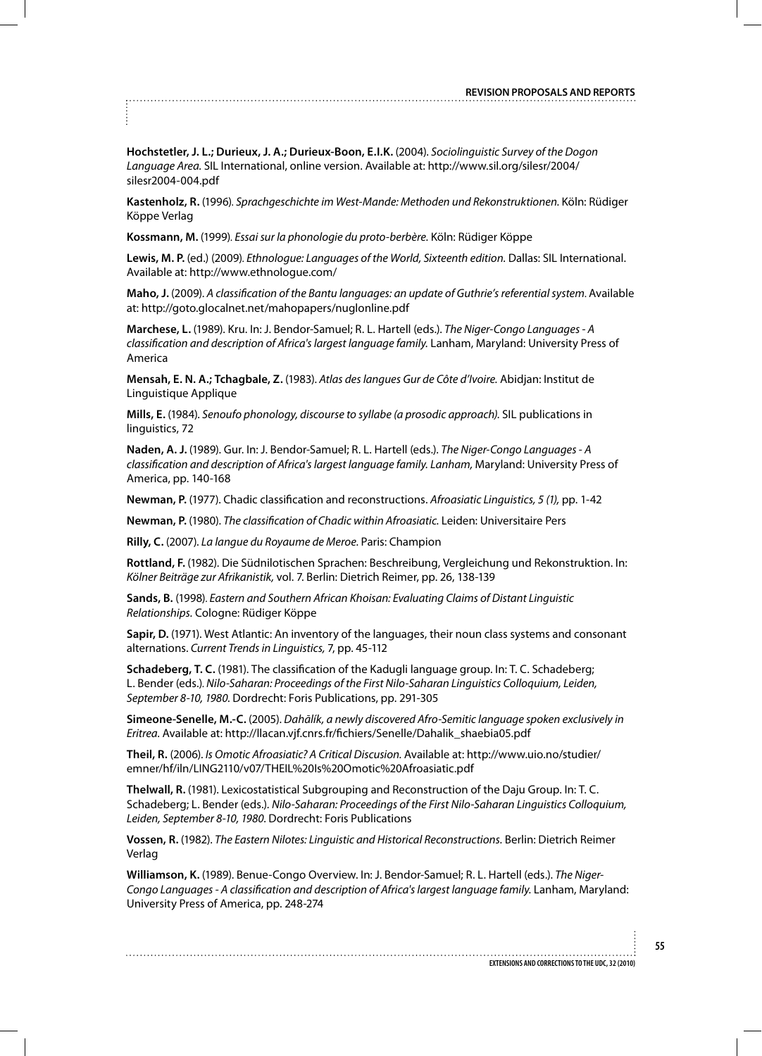**Hochstetler, J. L.; Durieux, J. A.; Durieux-Boon, E.I.K.** (2004). *Sociolinguistic Survey of the Dogon Language Area.* SIL International, online version. Available at: http://www.sil.org/silesr/2004/ silesr2004-004.pdf

**Kastenholz, R.** (1996). Sprachgeschichte im West-Mande: Methoden und Rekonstruktionen. Köln: Rüdiger Köppe Verlag

**Kossmann, M.** (1999). *Essai sur la phonologie du proto-berbère.* Köln: Rüdiger Köppe

**Lewis, M. P.** (ed.) (2009). Ethnologue: Languages of the World, Sixteenth edition. Dallas: SIL International. Available at: http://www.ethnologue.com/

**Maho, J.** (2009). *A classification of the Bantu languages: an update of Guthrie's referential system*. Available at: http://goto.glocalnet.net/mahopapers/nuglonline.pdf

**Marchese, L.** (1989). Kru. In: J. Bendor-Samuel; R. L. Hartell (eds.). *The Niger-Congo Languages - A classification and description of Africa's largest language family.* Lanham, Maryland: University Press of America

**Mensah, E. N. A.; Tchagbale, Z.** (1983). *Atlas des langues Gur de Côte d'Ivoire.* Abidjan: Institut de Linguistique Applique

**Mills, E.** (1984). *Senoufo phonology, discourse to syllabe (a prosodic approach).* SIL publications in linguistics, 72

**Naden, A. J.** (1989). Gur. In: J. Bendor-Samuel; R. L. Hartell (eds.). *The Niger-Congo Languages - A classification and description of Africa's largest language family. Lanham,* Maryland: University Press of America, pp. 140-168

**Newman, P.** (1977). Chadic classification and reconstructions. *Afroasiatic Linguistics, 5 (1),* pp. 1-42

**Newman, P.** (1980). *The classification of Chadic within Afroasiatic.* Leiden: Universitaire Pers

**Rilly, C.** (2007). *La langue du Royaume de Meroe.* Paris: Champion

**Rottland, F.** (1982). Die Südnilotischen Sprachen: Beschreibung, Vergleichung und Rekonstruktion. In: *Kölner Beiträge zur Afrikanistik,* vol. 7. Berlin: Dietrich Reimer, pp. 26, 138-139

**Sands, B.** (1998). *Eastern and Southern African Khoisan: Evaluating Claims of Distant Linguistic Relationships.* Cologne: Rüdiger Köppe

**Sapir, D.** (1971). West Atlantic: An inventory of the languages, their noun class systems and consonant alternations. *Current Trends in Linguistics,* 7, pp. 45-112

**Schadeberg, T. C.** (1981). The classification of the Kadugli language group. In: T. C. Schadeberg; L. Bender (eds.). *Nilo-Saharan: Proceedings of the First Nilo-Saharan Linguistics Colloquium, Leiden, September 8-10, 1980.* Dordrecht: Foris Publications, pp. 291-305

**Simeone-Senelle, M.-C.** (2005). *Dahālík, a newly discovered Afro-Semitic language spoken exclusively in Eritrea.* Available at: http://llacan.vjf.cnrs.fr/fichiers/Senelle/Dahalik\_shaebia05.pdf

**Theil, R.** (2006). *Is Omotic Afroasiatic? A Critical Discusion.* Available at: http://www.uio.no/studier/ emner/hf/iln/LING2110/v07/THEIL%20Is%20Omotic%20Afroasiatic.pdf

**Thelwall, R.** (1981). Lexicostatistical Subgrouping and Reconstruction of the Daju Group. In: T. C. Schadeberg; L. Bender (eds.). *Nilo-Saharan: Proceedings of the First Nilo-Saharan Linguistics Colloquium, Leiden, September 8-10, 1980.* Dordrecht: Foris Publications

**Vossen, R.** (1982). *The Eastern Nilotes: Linguistic and Historical Reconstructions.* Berlin: Dietrich Reimer Verlag

**Williamson, K.** (1989). Benue-Congo Overview. In: J. Bendor-Samuel; R. L. Hartell (eds.). *The Niger-Congo Languages - A classification and description of Africa's largest language family.* Lanham, Maryland: University Press of America, pp. 248-274